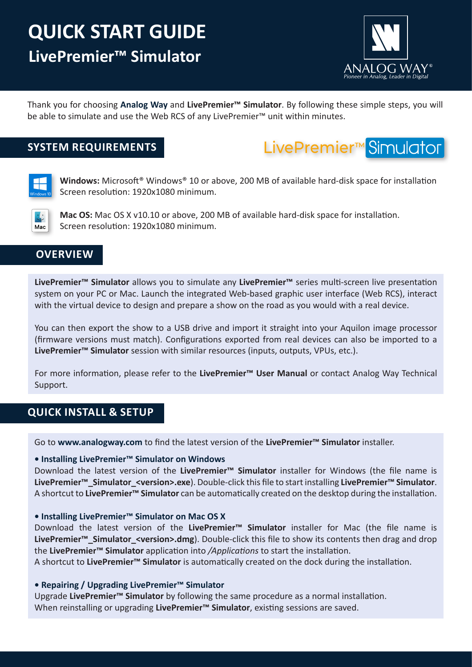# **LivePremier™ Simulator QUICK START GUIDE**



Thank you for choosing **Analog Way** and **LivePremier™ Simulator**. By following these simple steps, you will be able to simulate and use the Web RCS of any LivePremier™ unit within minutes.

# **SYSTEM REQUIREMENTS**





**Windows:** Microsoft® Windows® 10 or above, 200 MB of available hard-disk space for installation Screen resolution: 1920x1080 minimum.



**Mac OS:** Mac OS X v10.10 or above, 200 MB of available hard-disk space for installation. Screen resolution: 1920x1080 minimum.

## **OVERVIEW**

**LivePremier™ Simulator** allows you to simulate any **LivePremier™** series multi-screen live presentation system on your PC or Mac. Launch the integrated Web-based graphic user interface (Web RCS), interact with the virtual device to design and prepare a show on the road as you would with a real device.

You can then export the show to a USB drive and import it straight into your Aquilon image processor (firmware versions must match). Configurations exported from real devices can also be imported to a **LivePremier™ Simulator** session with similar resources (inputs, outputs, VPUs, etc.).

For more information, please refer to the **LivePremier™ User Manual** or contact Analog Way Technical Support.

# **QUICK INSTALL & SETUP**

Go to **www.analogway.com** to find the latest version of the **LivePremier™ Simulator** installer.

#### **• Installing LivePremier™ Simulator on Windows**

Download the latest version of the **LivePremier™ Simulator** installer for Windows (the file name is **LivePremier™\_Simulator\_<version>.exe**). Double-click this file to start installing **LivePremier™ Simulator**. A shortcut to **LivePremier™ Simulator** can be automatically created on the desktop during the installation.

#### **• Installing LivePremier™ Simulator on Mac OS X**

Download the latest version of the **LivePremier™ Simulator** installer for Mac (the file name is LivePremier<sup>™</sup> Simulator <version>.dmg). Double-click this file to show its contents then drag and drop the **LivePremier™ Simulator** application into */Applications* to start the installation.

A shortcut to **LivePremier™ Simulator** is automatically created on the dock during the installation.

#### **• Repairing / Upgrading LivePremier™ Simulator**

Upgrade **LivePremier™ Simulator** by following the same procedure as a normal installation. When reinstalling or upgrading **LivePremier™ Simulator**, existing sessions are saved.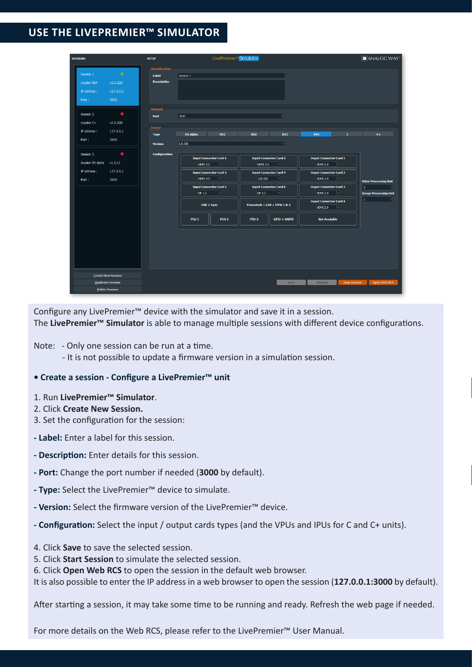# **USE THE LIVEPREMIER™ SIMULATOR**

| <b>SESSIONS</b>                                                                            | <b>SETUP</b>                                         | LivePremier <sup>™</sup> Simulator                                                                                                       |                                                                                                                                  |                                                                                                                                                       | <b>MANALOG WAY®</b>                                                                 |
|--------------------------------------------------------------------------------------------|------------------------------------------------------|------------------------------------------------------------------------------------------------------------------------------------------|----------------------------------------------------------------------------------------------------------------------------------|-------------------------------------------------------------------------------------------------------------------------------------------------------|-------------------------------------------------------------------------------------|
| $\bullet$<br>Session 1<br>v2.0.228<br>Aquilon RS4<br>127.0.0.1<br>IP address :             | <b>Identification</b><br>Label<br><b>Description</b> | Session 1                                                                                                                                |                                                                                                                                  |                                                                                                                                                       |                                                                                     |
| 3000<br>Port:<br>$\bullet$<br>Session 2<br>Aquion C+<br>v2.0.228                           | <b>Network</b><br>Port                               | 3000                                                                                                                                     | ╞╕                                                                                                                               |                                                                                                                                                       |                                                                                     |
| IP address :<br>127.0.0.1<br>3000<br>Port:                                                 | <b>Device</b><br><b>Type</b><br><b>Version</b>       | RS1<br><b>RS</b> alpha<br>2.0.228                                                                                                        | RS2<br>RS3<br>ᅱ                                                                                                                  | <b>RS4</b><br>$\epsilon$                                                                                                                              | $C +$                                                                               |
| $\bullet$<br>Session 3<br>Aquilon RS alpha<br>v1.2.11<br>IP address :<br>127.0.0.1<br>3000 | <b>Configuration</b>                                 | <b>Input Connector Card 1</b><br>$\left  \mathbf{v} \right $<br><b>HDMI 2.0</b><br><b>Input Connector Card 3</b><br>H<br><b>HDMI 2.0</b> | <b>Input Connector Card 2</b><br><b>HDMI 2.0</b><br>$ \mathbf{v} $<br><b>Input Connector Card 4</b><br>$ \mathbb{1} $<br>12G-SDI | <b>Ouput Connector Card 1</b><br>$ \mathbb{I} $<br><b>HDMI 2.0</b><br><b>Ouput Connector Card 2</b><br>$\left  \mathbf{v} \right $<br><b>HDMI 2.0</b> |                                                                                     |
| Port:                                                                                      |                                                      | <b>Input Connector Card 5</b><br>$\vert \textbf{\text{-}} \vert$<br>DP 1.2                                                               | <b>Input Connector Card 6</b><br>$\vert \text{\textbf{-}} \vert$<br>DP 1.2                                                       | <b>Ouput Connector Card 3</b><br>╶╿╾║<br><b>HDMI 2.0</b>                                                                                              | <b>Video Processing Unit</b><br>F<br>$\overline{3}$<br><b>Image Processing Unit</b> |
|                                                                                            |                                                      | $USB + Sync$                                                                                                                             | Framelock + LAN + MVW 1 & 2                                                                                                      | <b>Ouput Connector Card 4</b><br>$\vert - \vert$<br><b>HDMI 2.0</b>                                                                                   | Н<br>$\overline{2}$                                                                 |
|                                                                                            |                                                      | <b>PSU1</b><br><b>PSU 2</b>                                                                                                              | PSU <sub>3</sub><br><b>GPIO + DANTE</b>                                                                                          | <b>Not Available</b>                                                                                                                                  |                                                                                     |
|                                                                                            |                                                      |                                                                                                                                          |                                                                                                                                  |                                                                                                                                                       |                                                                                     |
| <b>Create New Session</b><br><b>Duplicate Session</b>                                      |                                                      |                                                                                                                                          | Save                                                                                                                             | <b>Discard</b><br><b>Stop Session</b>                                                                                                                 | <b>Open Web RCS</b>                                                                 |
| <b>Delete Session</b>                                                                      |                                                      |                                                                                                                                          |                                                                                                                                  |                                                                                                                                                       |                                                                                     |

Configure any LivePremier™ device with the simulator and save it in a session. The **LivePremier™ Simulator** is able to manage multiple sessions with different device configurations.

- Note: Only one session can be run at a time.
	- It is not possible to update a firmware version in a simulation session.

#### **• Create a session - Configure a LivePremier™ unit**

- 1. Run **LivePremier™ Simulator**.
- 2. Click **Create New Session.**
- 3. Set the configuration for the session:
- **Label:** Enter a label for this session.
- **Description:** Enter details for this session.
- **Port:** Change the port number if needed (**3000** by default).
- **Type:** Select the LivePremier™ device to simulate.
- **Version:** Select the firmware version of the LivePremier™ device.
- **Configuration:** Select the input / output cards types (and the VPUs and IPUs for C and C+ units).
- 4. Click **Save** to save the selected session.
- 5. Click **Start Session** to simulate the selected session.
- 6. Click **Open Web RCS** to open the session in the default web browser.
- It is also possible to enter the IP address in a web browser to open the session (**127.0.0.1:3000** by default).

After starting a session, it may take some time to be running and ready. Refresh the web page if needed.

For more details on the Web RCS, please refer to the LivePremier™ User Manual.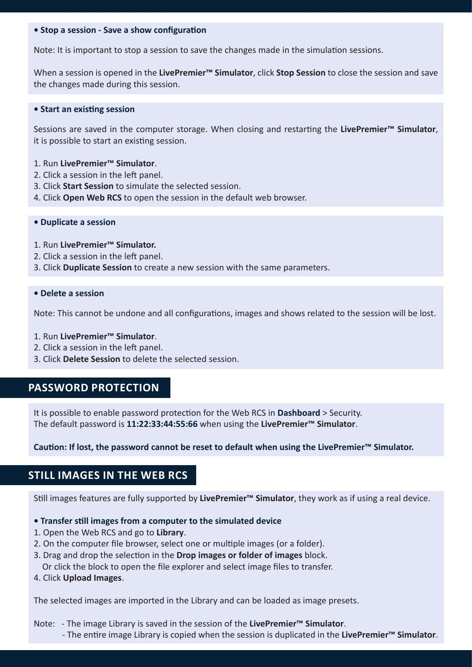#### **• Stop a session - Save a show configuration**

Note: It is important to stop a session to save the changes made in the simulation sessions.

When a session is opened in the **LivePremier™ Simulator**, click **Stop Session** to close the session and save the changes made during this session.

#### **• Start an existing session**

Sessions are saved in the computer storage. When closing and restarting the **LivePremier™ Simulator**, it is possible to start an existing session.

#### 1. Run **LivePremier™ Simulator**.

- 2. Click a session in the left panel.
- 3. Click **Start Session** to simulate the selected session.
- 4. Click **Open Web RCS** to open the session in the default web browser.

#### **• Duplicate a session**

- 1. Run **LivePremier™ Simulator.**
- 2. Click a session in the left panel.
- 3. Click **Duplicate Session** to create a new session with the same parameters.

#### **• Delete a session**

Note: This cannot be undone and all configurations, images and shows related to the session will be lost.

- 1. Run **LivePremier™ Simulator**.
- 2. Click a session in the left panel.
- 3. Click **Delete Session** to delete the selected session.

### **PASSWORD PROTECTION**

It is possible to enable password protection for the Web RCS in **Dashboard** > Security. The default password is **11:22:33:44:55:66** when using the **LivePremier™ Simulator**.

**Caution: If lost, the password cannot be reset to default when using the LivePremier™ Simulator.**

### **STILL IMAGES IN THE WEB RCS**

Still images features are fully supported by **LivePremier™ Simulator**, they work as if using a real device.

#### **• Transfer still images from a computer to the simulated device**

- 1. Open the Web RCS and go to **Library**.
- 2. On the computer file browser, select one or multiple images (or a folder).
- 3. Drag and drop the selection in the **Drop images or folder of images** block.
- Or click the block to open the file explorer and select image files to transfer.
- 4. Click **Upload Images**.

The selected images are imported in the Library and can be loaded as image presets.

Note: - The image Library is saved in the session of the **LivePremier™ Simulator**.

- The entire image Library is copied when the session is duplicated in the **LivePremier™ Simulator**.